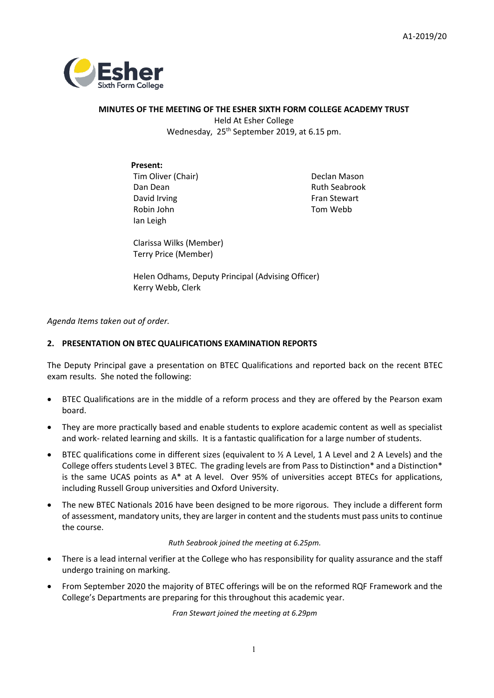

# **MINUTES OF THE MEETING OF THE ESHER SIXTH FORM COLLEGE ACADEMY TRUST**  Held At Esher College Wednesday, 25<sup>th</sup> September 2019, at 6.15 pm.

# **Present:**

Tim Oliver (Chair) Dan Dean David Irving Robin John Ian Leigh

Declan Mason Ruth Seabrook Fran Stewart Tom Webb

Clarissa Wilks (Member) Terry Price (Member)

Helen Odhams, Deputy Principal (Advising Officer) Kerry Webb, Clerk

*Agenda Items taken out of order.*

# **2. PRESENTATION ON BTEC QUALIFICATIONS EXAMINATION REPORTS**

The Deputy Principal gave a presentation on BTEC Qualifications and reported back on the recent BTEC exam results. She noted the following:

- BTEC Qualifications are in the middle of a reform process and they are offered by the Pearson exam board.
- They are more practically based and enable students to explore academic content as well as specialist and work- related learning and skills. It is a fantastic qualification for a large number of students.
- BTEC qualifications come in different sizes (equivalent to ½ A Level, 1 A Level and 2 A Levels) and the College offers students Level 3 BTEC. The grading levels are from Pass to Distinction\* and a Distinction\* is the same UCAS points as  $A^*$  at A level. Over 95% of universities accept BTECs for applications, including Russell Group universities and Oxford University.
- The new BTEC Nationals 2016 have been designed to be more rigorous. They include a different form of assessment, mandatory units, they are larger in content and the students must pass units to continue the course.

*Ruth Seabrook joined the meeting at 6.25pm.*

- There is a lead internal verifier at the College who has responsibility for quality assurance and the staff undergo training on marking.
- From September 2020 the majority of BTEC offerings will be on the reformed RQF Framework and the College's Departments are preparing for this throughout this academic year.

*Fran Stewart joined the meeting at 6.29pm*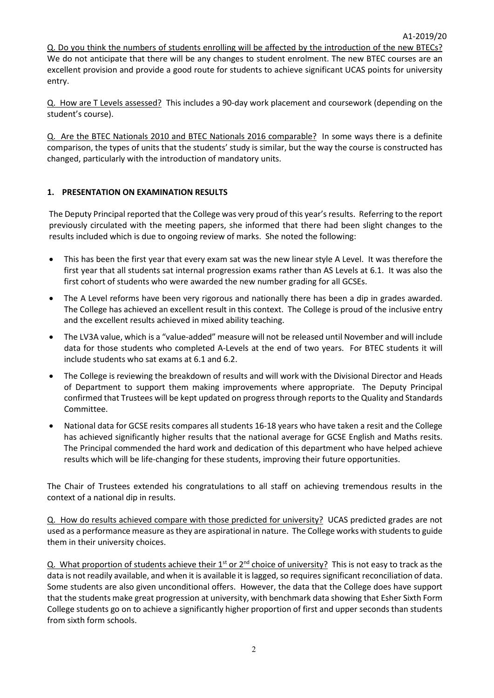Q. Do you think the numbers of students enrolling will be affected by the introduction of the new BTECs? We do not anticipate that there will be any changes to student enrolment. The new BTEC courses are an excellent provision and provide a good route for students to achieve significant UCAS points for university entry.

Q. How are T Levels assessed? This includes a 90-day work placement and coursework (depending on the student's course).

Q. Are the BTEC Nationals 2010 and BTEC Nationals 2016 comparable? In some ways there is a definite comparison, the types of units that the students' study is similar, but the way the course is constructed has changed, particularly with the introduction of mandatory units.

# **1. PRESENTATION ON EXAMINATION RESULTS**

The Deputy Principal reported that the College was very proud of this year's results. Referring to the report previously circulated with the meeting papers, she informed that there had been slight changes to the results included which is due to ongoing review of marks. She noted the following:

- This has been the first year that every exam sat was the new linear style A Level. It was therefore the first year that all students sat internal progression exams rather than AS Levels at 6.1. It was also the first cohort of students who were awarded the new number grading for all GCSEs.
- The A Level reforms have been very rigorous and nationally there has been a dip in grades awarded. The College has achieved an excellent result in this context. The College is proud of the inclusive entry and the excellent results achieved in mixed ability teaching.
- The LV3A value, which is a "value-added" measure will not be released until November and will include data for those students who completed A-Levels at the end of two years. For BTEC students it will include students who sat exams at 6.1 and 6.2.
- The College is reviewing the breakdown of results and will work with the Divisional Director and Heads of Department to support them making improvements where appropriate. The Deputy Principal confirmed that Trustees will be kept updated on progress through reports to the Quality and Standards Committee.
- National data for GCSE resits compares all students 16-18 years who have taken a resit and the College has achieved significantly higher results that the national average for GCSE English and Maths resits. The Principal commended the hard work and dedication of this department who have helped achieve results which will be life-changing for these students, improving their future opportunities.

The Chair of Trustees extended his congratulations to all staff on achieving tremendous results in the context of a national dip in results.

Q. How do results achieved compare with those predicted for university? UCAS predicted grades are not used as a performance measure as they are aspirational in nature. The College works with students to guide them in their university choices.

Q. What proportion of students achieve their  $1^{st}$  or  $2^{nd}$  choice of university? This is not easy to track as the data is not readily available, and when it is available it is lagged, so requires significant reconciliation of data. Some students are also given unconditional offers. However, the data that the College does have support that the students make great progression at university, with benchmark data showing that Esher Sixth Form College students go on to achieve a significantly higher proportion of first and upper seconds than students from sixth form schools.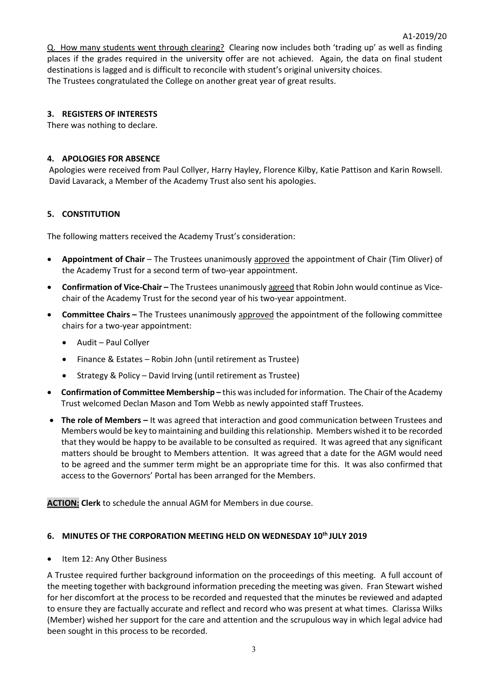Q. How many students went through clearing? Clearing now includes both 'trading up' as well as finding places if the grades required in the university offer are not achieved. Again, the data on final student destinations is lagged and is difficult to reconcile with student's original university choices. The Trustees congratulated the College on another great year of great results.

A1-2019/20

# **3. REGISTERS OF INTERESTS**

There was nothing to declare.

# **4. APOLOGIES FOR ABSENCE**

Apologies were received from Paul Collyer, Harry Hayley, Florence Kilby, Katie Pattison and Karin Rowsell. David Lavarack, a Member of the Academy Trust also sent his apologies.

# **5. CONSTITUTION**

The following matters received the Academy Trust's consideration:

- **Appointment of Chair** The Trustees unanimously approved the appointment of Chair (Tim Oliver) of the Academy Trust for a second term of two-year appointment.
- **Confirmation of Vice-Chair –** The Trustees unanimously agreed that Robin John would continue as Vicechair of the Academy Trust for the second year of his two-year appointment.
- **Committee Chairs –** The Trustees unanimously approved the appointment of the following committee chairs for a two-year appointment:
	- Audit Paul Collyer
	- Finance & Estates Robin John (until retirement as Trustee)
	- Strategy & Policy David Irving (until retirement as Trustee)
- **Confirmation of Committee Membership –** this was included for information. The Chair of the Academy Trust welcomed Declan Mason and Tom Webb as newly appointed staff Trustees.
- **The role of Members –** It was agreed that interaction and good communication between Trustees and Members would be key to maintaining and building this relationship. Members wished it to be recorded that they would be happy to be available to be consulted as required. It was agreed that any significant matters should be brought to Members attention. It was agreed that a date for the AGM would need to be agreed and the summer term might be an appropriate time for this. It was also confirmed that access to the Governors' Portal has been arranged for the Members.

**ACTION: Clerk** to schedule the annual AGM for Members in due course.

# **6. MINUTES OF THE CORPORATION MEETING HELD ON WEDNESDAY 10th JULY 2019**

• Item 12: Any Other Business

A Trustee required further background information on the proceedings of this meeting. A full account of the meeting together with background information preceding the meeting was given. Fran Stewart wished for her discomfort at the process to be recorded and requested that the minutes be reviewed and adapted to ensure they are factually accurate and reflect and record who was present at what times. Clarissa Wilks (Member) wished her support for the care and attention and the scrupulous way in which legal advice had been sought in this process to be recorded.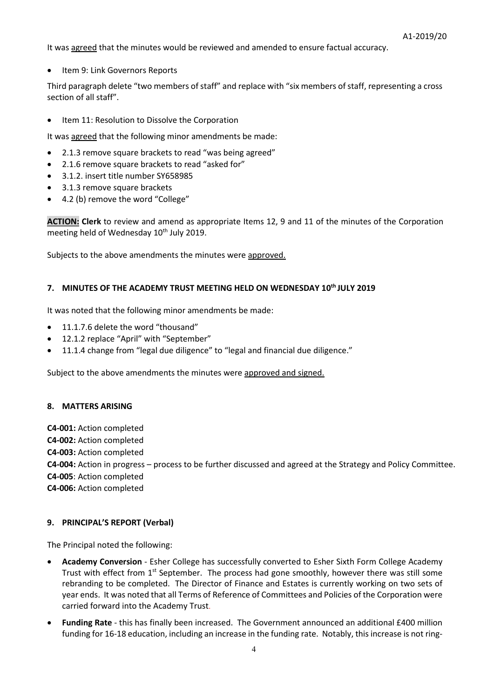It was agreed that the minutes would be reviewed and amended to ensure factual accuracy.

• Item 9: Link Governors Reports

Third paragraph delete "two members of staff" and replace with "six members of staff, representing a cross section of all staff".

• Item 11: Resolution to Dissolve the Corporation

It was agreed that the following minor amendments be made:

- 2.1.3 remove square brackets to read "was being agreed"
- 2.1.6 remove square brackets to read "asked for"
- 3.1.2. insert title number SY658985
- 3.1.3 remove square brackets
- 4.2 (b) remove the word "College"

**ACTION: Clerk** to review and amend as appropriate Items 12, 9 and 11 of the minutes of the Corporation meeting held of Wednesday  $10<sup>th</sup>$  July 2019.

Subjects to the above amendments the minutes were approved.

### **7. MINUTES OF THE ACADEMY TRUST MEETING HELD ON WEDNESDAY 10th JULY 2019**

It was noted that the following minor amendments be made:

- 11.1.7.6 delete the word "thousand"
- 12.1.2 replace "April" with "September"
- 11.1.4 change from "legal due diligence" to "legal and financial due diligence."

Subject to the above amendments the minutes were approved and signed.

#### **8. MATTERS ARISING**

**C4-001:** Action completed **C4-002:** Action completed **C4-003:** Action completed **C4-004:** Action in progress – process to be further discussed and agreed at the Strategy and Policy Committee. **C4-005**: Action completed **C4-006:** Action completed

#### **9. PRINCIPAL'S REPORT (Verbal)**

The Principal noted the following:

- **Academy Conversion** Esher College has successfully converted to Esher Sixth Form College Academy Trust with effect from  $1^{st}$  September. The process had gone smoothly, however there was still some rebranding to be completed. The Director of Finance and Estates is currently working on two sets of year ends. It was noted that all Terms of Reference of Committees and Policies of the Corporation were carried forward into the Academy Trust.
- **Funding Rate** this has finally been increased. The Government announced an additional £400 million funding for 16-18 education, including an increase in the funding rate. Notably, this increase is not ring-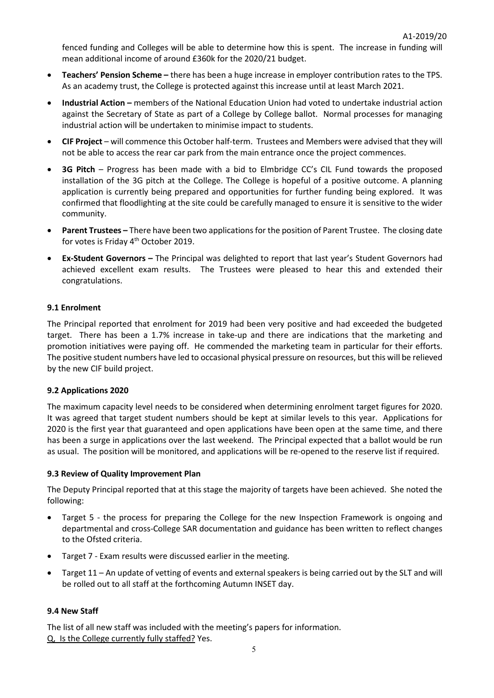fenced funding and Colleges will be able to determine how this is spent. The increase in funding will mean additional income of around £360k for the 2020/21 budget.

- **Teachers' Pension Scheme –** there has been a huge increase in employer contribution rates to the TPS. As an academy trust, the College is protected against this increase until at least March 2021.
- **Industrial Action –** members of the National Education Union had voted to undertake industrial action against the Secretary of State as part of a College by College ballot. Normal processes for managing industrial action will be undertaken to minimise impact to students.
- **CIF Project** will commence this October half-term. Trustees and Members were advised that they will not be able to access the rear car park from the main entrance once the project commences.
- **3G Pitch** Progress has been made with a bid to Elmbridge CC's CIL Fund towards the proposed installation of the 3G pitch at the College. The College is hopeful of a positive outcome. A planning application is currently being prepared and opportunities for further funding being explored. It was confirmed that floodlighting at the site could be carefully managed to ensure it is sensitive to the wider community.
- **Parent Trustees –** There have been two applications for the position of Parent Trustee. The closing date for votes is Friday 4<sup>th</sup> October 2019.
- **Ex-Student Governors –** The Principal was delighted to report that last year's Student Governors had achieved excellent exam results. The Trustees were pleased to hear this and extended their congratulations.

# **9.1 Enrolment**

The Principal reported that enrolment for 2019 had been very positive and had exceeded the budgeted target. There has been a 1.7% increase in take-up and there are indications that the marketing and promotion initiatives were paying off. He commended the marketing team in particular for their efforts. The positive student numbers have led to occasional physical pressure on resources, but this will be relieved by the new CIF build project.

### **9.2 Applications 2020**

The maximum capacity level needs to be considered when determining enrolment target figures for 2020. It was agreed that target student numbers should be kept at similar levels to this year. Applications for 2020 is the first year that guaranteed and open applications have been open at the same time, and there has been a surge in applications over the last weekend. The Principal expected that a ballot would be run as usual. The position will be monitored, and applications will be re-opened to the reserve list if required.

### **9.3 Review of Quality Improvement Plan**

The Deputy Principal reported that at this stage the majority of targets have been achieved. She noted the following:

- Target 5 the process for preparing the College for the new Inspection Framework is ongoing and departmental and cross-College SAR documentation and guidance has been written to reflect changes to the Ofsted criteria.
- Target 7 Exam results were discussed earlier in the meeting.
- Target 11 An update of vetting of events and external speakers is being carried out by the SLT and will be rolled out to all staff at the forthcoming Autumn INSET day.

### **9.4 New Staff**

The list of all new staff was included with the meeting's papers for information. Q, Is the College currently fully staffed? Yes.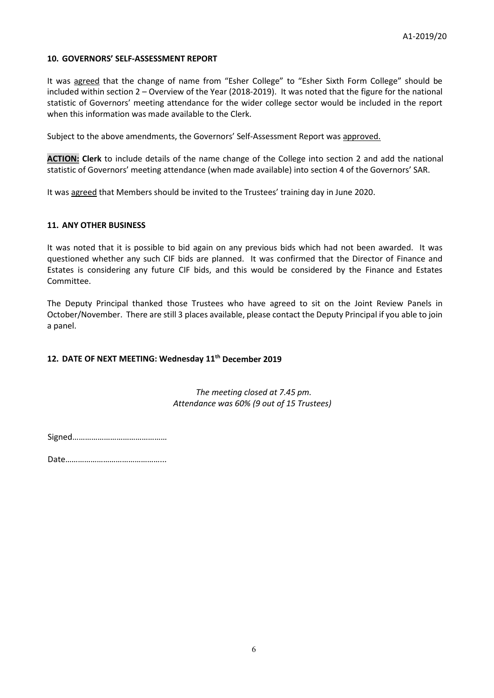# **10. GOVERNORS' SELF-ASSESSMENT REPORT**

It was agreed that the change of name from "Esher College" to "Esher Sixth Form College" should be included within section 2 – Overview of the Year (2018-2019). It was noted that the figure for the national statistic of Governors' meeting attendance for the wider college sector would be included in the report when this information was made available to the Clerk.

Subject to the above amendments, the Governors' Self-Assessment Report was approved.

**ACTION: Clerk** to include details of the name change of the College into section 2 and add the national statistic of Governors' meeting attendance (when made available) into section 4 of the Governors' SAR.

It was agreed that Members should be invited to the Trustees' training day in June 2020.

#### **11. ANY OTHER BUSINESS**

It was noted that it is possible to bid again on any previous bids which had not been awarded. It was questioned whether any such CIF bids are planned. It was confirmed that the Director of Finance and Estates is considering any future CIF bids, and this would be considered by the Finance and Estates Committee.

The Deputy Principal thanked those Trustees who have agreed to sit on the Joint Review Panels in October/November. There are still 3 places available, please contact the Deputy Principal if you able to join a panel.

### **12. DATE OF NEXT MEETING: Wednesday 11th December 2019**

*The meeting closed at 7.45 pm. Attendance was 60% (9 out of 15 Trustees)*

Signed………………………………………

Date………………………………………...